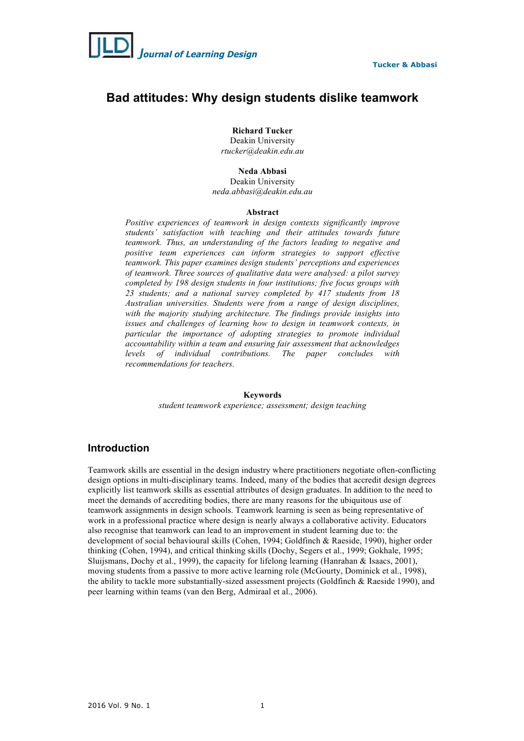

# **Bad attitudes: Why design students dislike teamwork**

**Richard Tucker** Deakin University

*rtucker@deakin.edu.au*

## **Neda Abbasi**

Deakin University *neda.abbasi@deakin.edu.au*

#### **Abstract**

*Positive experiences of teamwork in design contexts significantly improve students' satisfaction with teaching and their attitudes towards future teamwork. Thus, an understanding of the factors leading to negative and positive team experiences can inform strategies to support effective teamwork. This paper examines design students' perceptions and experiences of teamwork. Three sources of qualitative data were analysed: a pilot survey completed by 198 design students in four institutions; five focus groups with 23 students; and a national survey completed by 417 students from 18 Australian universities. Students were from a range of design disciplines, with the majority studying architecture. The findings provide insights into issues and challenges of learning how to design in teamwork contexts, in particular the importance of adopting strategies to promote individual accountability within a team and ensuring fair assessment that acknowledges levels of individual contributions. The paper concludes with recommendations for teachers.*

#### **Keywords**

*student teamwork experience; assessment; design teaching*

## **Introduction**

Teamwork skills are essential in the design industry where practitioners negotiate often-conflicting design options in multi-disciplinary teams. Indeed, many of the bodies that accredit design degrees explicitly list teamwork skills as essential attributes of design graduates. In addition to the need to meet the demands of accrediting bodies, there are many reasons for the ubiquitous use of teamwork assignments in design schools. Teamwork learning is seen as being representative of work in a professional practice where design is nearly always a collaborative activity. Educators also recognise that teamwork can lead to an improvement in student learning due to: the development of social behavioural skills (Cohen, 1994; Goldfinch & Raeside, 1990), higher order thinking (Cohen, 1994), and critical thinking skills (Dochy, Segers et al., 1999; Gokhale, 1995; Sluijsmans, Dochy et al., 1999), the capacity for lifelong learning (Hanrahan & Isaacs, 2001), moving students from a passive to more active learning role (McGourty, Dominick et al., 1998), the ability to tackle more substantially-sized assessment projects (Goldfinch & Raeside 1990), and peer learning within teams (van den Berg, Admiraal et al., 2006).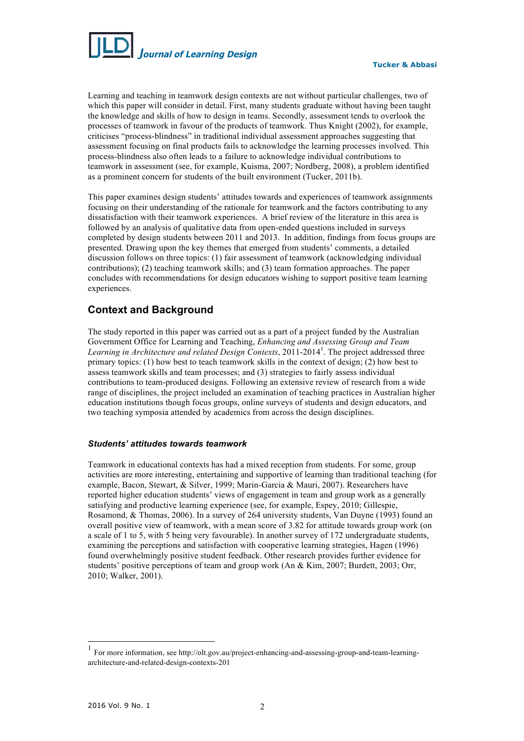

Learning and teaching in teamwork design contexts are not without particular challenges, two of which this paper will consider in detail. First, many students graduate without having been taught the knowledge and skills of how to design in teams. Secondly, assessment tends to overlook the processes of teamwork in favour of the products of teamwork. Thus Knight (2002), for example, criticises "process-blindness" in traditional individual assessment approaches suggesting that assessment focusing on final products fails to acknowledge the learning processes involved. This process-blindness also often leads to a failure to acknowledge individual contributions to teamwork in assessment (see, for example, Kuisma, 2007; Nordberg, 2008), a problem identified as a prominent concern for students of the built environment (Tucker, 2011b).

This paper examines design students' attitudes towards and experiences of teamwork assignments focusing on their understanding of the rationale for teamwork and the factors contributing to any dissatisfaction with their teamwork experiences. A brief review of the literature in this area is followed by an analysis of qualitative data from open-ended questions included in surveys completed by design students between 2011 and 2013. In addition, findings from focus groups are presented. Drawing upon the key themes that emerged from students' comments, a detailed discussion follows on three topics: (1) fair assessment of teamwork (acknowledging individual contributions); (2) teaching teamwork skills; and (3) team formation approaches. The paper concludes with recommendations for design educators wishing to support positive team learning experiences.

# **Context and Background**

The study reported in this paper was carried out as a part of a project funded by the Australian Government Office for Learning and Teaching, *Enhancing and Assessing Group and Team*  Learning in Architecture and related Design Contexts, 2011-2014<sup>1</sup>. The project addressed three primary topics: (1) how best to teach teamwork skills in the context of design; (2) how best to assess teamwork skills and team processes; and (3) strategies to fairly assess individual contributions to team-produced designs. Following an extensive review of research from a wide range of disciplines, the project included an examination of teaching practices in Australian higher education institutions though focus groups, online surveys of students and design educators, and two teaching symposia attended by academics from across the design disciplines.

## *Students' attitudes towards teamwork*

Teamwork in educational contexts has had a mixed reception from students. For some, group activities are more interesting, entertaining and supportive of learning than traditional teaching (for example, Bacon, Stewart, & Silver, 1999; Marin-Garcia & Mauri, 2007). Researchers have reported higher education students' views of engagement in team and group work as a generally satisfying and productive learning experience (see, for example, Espey, 2010; Gillespie, Rosamond, & Thomas, 2006). In a survey of 264 university students, Van Duyne (1993) found an overall positive view of teamwork, with a mean score of 3.82 for attitude towards group work (on a scale of 1 to 5, with 5 being very favourable). In another survey of 172 undergraduate students, examining the perceptions and satisfaction with cooperative learning strategies, Hagen (1996) found overwhelmingly positive student feedback. Other research provides further evidence for students' positive perceptions of team and group work (An & Kim, 2007; Burdett, 2003; Orr, 2010; Walker, 2001).

 <sup>1</sup> For more information, see http://olt.gov.au/project-enhancing-and-assessing-group-and-team-learningarchitecture-and-related-design-contexts-201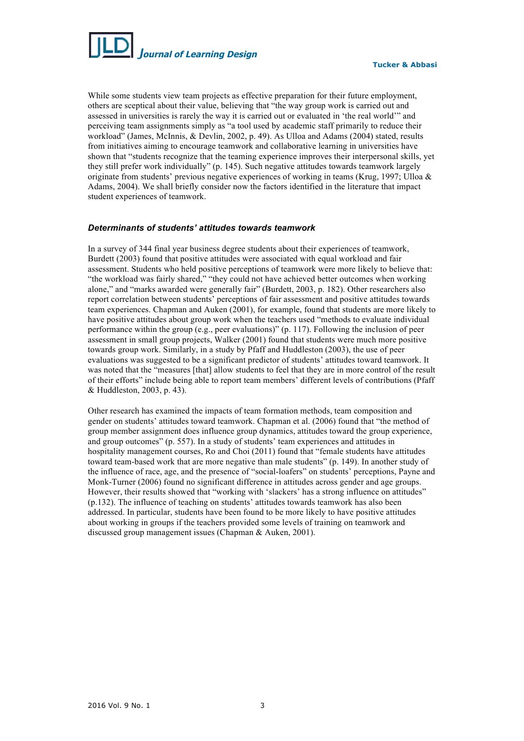

While some students view team projects as effective preparation for their future employment, others are sceptical about their value, believing that "the way group work is carried out and assessed in universities is rarely the way it is carried out or evaluated in 'the real world'" and perceiving team assignments simply as "a tool used by academic staff primarily to reduce their workload" (James, McInnis, & Devlin, 2002, p. 49). As Ulloa and Adams (2004) stated, results from initiatives aiming to encourage teamwork and collaborative learning in universities have shown that "students recognize that the teaming experience improves their interpersonal skills, yet they still prefer work individually" (p. 145). Such negative attitudes towards teamwork largely originate from students' previous negative experiences of working in teams (Krug, 1997; Ulloa & Adams, 2004). We shall briefly consider now the factors identified in the literature that impact student experiences of teamwork.

#### *Determinants of students' attitudes towards teamwork*

In a survey of 344 final year business degree students about their experiences of teamwork, Burdett (2003) found that positive attitudes were associated with equal workload and fair assessment. Students who held positive perceptions of teamwork were more likely to believe that: "the workload was fairly shared," "they could not have achieved better outcomes when working alone," and "marks awarded were generally fair" (Burdett, 2003, p. 182). Other researchers also report correlation between students' perceptions of fair assessment and positive attitudes towards team experiences. Chapman and Auken (2001), for example, found that students are more likely to have positive attitudes about group work when the teachers used "methods to evaluate individual performance within the group (e.g., peer evaluations)" (p. 117). Following the inclusion of peer assessment in small group projects, Walker (2001) found that students were much more positive towards group work. Similarly, in a study by Pfaff and Huddleston (2003), the use of peer evaluations was suggested to be a significant predictor of students' attitudes toward teamwork. It was noted that the "measures [that] allow students to feel that they are in more control of the result of their efforts" include being able to report team members' different levels of contributions (Pfaff & Huddleston, 2003, p. 43).

Other research has examined the impacts of team formation methods, team composition and gender on students' attitudes toward teamwork. Chapman et al. (2006) found that "the method of group member assignment does influence group dynamics, attitudes toward the group experience, and group outcomes" (p. 557). In a study of students' team experiences and attitudes in hospitality management courses, Ro and Choi (2011) found that "female students have attitudes toward team-based work that are more negative than male students" (p. 149). In another study of the influence of race, age, and the presence of "social-loafers" on students' perceptions, Payne and Monk-Turner (2006) found no significant difference in attitudes across gender and age groups. However, their results showed that "working with 'slackers' has a strong influence on attitudes" (p.132). The influence of teaching on students' attitudes towards teamwork has also been addressed. In particular, students have been found to be more likely to have positive attitudes about working in groups if the teachers provided some levels of training on teamwork and discussed group management issues (Chapman & Auken, 2001).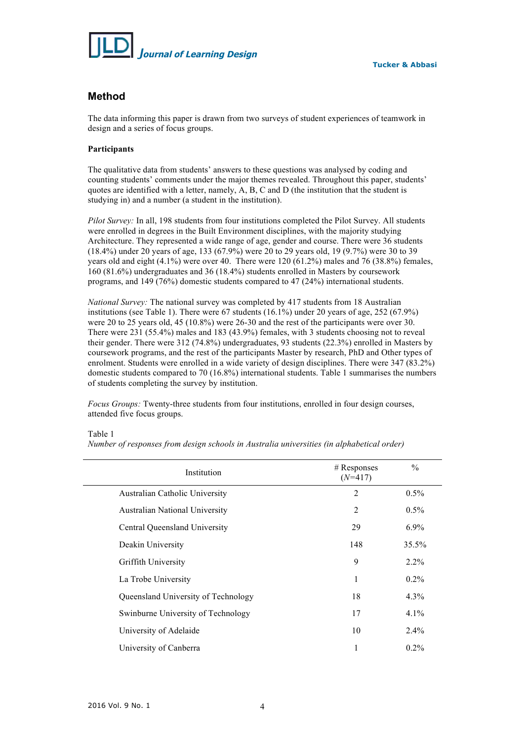

## **Method**

The data informing this paper is drawn from two surveys of student experiences of teamwork in design and a series of focus groups.

## **Participants**

The qualitative data from students' answers to these questions was analysed by coding and counting students' comments under the major themes revealed. Throughout this paper, students' quotes are identified with a letter, namely, A, B, C and D (the institution that the student is studying in) and a number (a student in the institution).

*Pilot Survey:* In all, 198 students from four institutions completed the Pilot Survey. All students were enrolled in degrees in the Built Environment disciplines, with the majority studying Architecture. They represented a wide range of age, gender and course. There were 36 students (18.4%) under 20 years of age, 133 (67.9%) were 20 to 29 years old, 19 (9.7%) were 30 to 39 years old and eight (4.1%) were over 40. There were 120 (61.2%) males and 76 (38.8%) females, 160 (81.6%) undergraduates and 36 (18.4%) students enrolled in Masters by coursework programs, and 149 (76%) domestic students compared to 47 (24%) international students.

*National Survey:* The national survey was completed by 417 students from 18 Australian institutions (see Table 1). There were 67 students (16.1%) under 20 years of age, 252 (67.9%) were 20 to 25 years old, 45 (10.8%) were 26-30 and the rest of the participants were over 30. There were 231 (55.4%) males and 183 (43.9%) females, with 3 students choosing not to reveal their gender. There were 312 (74.8%) undergraduates, 93 students (22.3%) enrolled in Masters by coursework programs, and the rest of the participants Master by research, PhD and Other types of enrolment. Students were enrolled in a wide variety of design disciplines. There were 347 (83.2%) domestic students compared to 70 (16.8%) international students. Table 1 summarises the numbers of students completing the survey by institution.

*Focus Groups:* Twenty-three students from four institutions, enrolled in four design courses, attended five focus groups.

## Table 1

*Number of responses from design schools in Australia universities (in alphabetical order)*

| Institution                           | $#$ Responses<br>$(N=417)$ | $\%$    |
|---------------------------------------|----------------------------|---------|
| Australian Catholic University        | $\overline{2}$             | $0.5\%$ |
| <b>Australian National University</b> | 2                          | $0.5\%$ |
| Central Queensland University         | 29                         | $6.9\%$ |
| Deakin University                     | 148                        | 35.5%   |
| Griffith University                   | 9                          | $2.2\%$ |
| La Trobe University                   | 1                          | $0.2\%$ |
| Queensland University of Technology   | 18                         | $4.3\%$ |
| Swinburne University of Technology    | 17                         | $4.1\%$ |
| University of Adelaide                | 10                         | $2.4\%$ |
| University of Canberra                | 1                          | $0.2\%$ |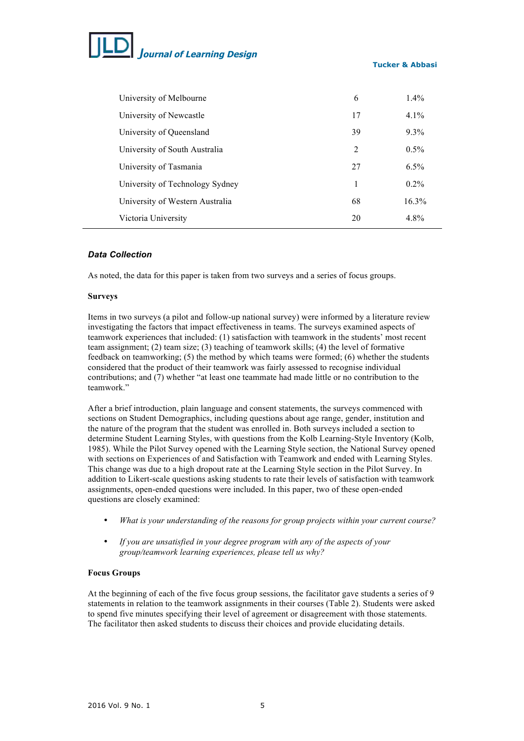# *J***ournal of Learning Design**

## **Tucker & Abbasi**

| University of Melbourne         | 6  | $1.4\%$  |
|---------------------------------|----|----------|
| University of Newcastle         | 17 | $4.1\%$  |
| University of Queensland        | 39 | $9.3\%$  |
| University of South Australia   | 2  | $0.5\%$  |
| University of Tasmania          | 27 | $6.5\%$  |
| University of Technology Sydney | 1  | $0.2\%$  |
| University of Western Australia | 68 | $16.3\%$ |
| Victoria University             | 20 | 4.8%     |

## *Data Collection*

As noted, the data for this paper is taken from two surveys and a series of focus groups.

#### **Surveys**

Items in two surveys (a pilot and follow-up national survey) were informed by a literature review investigating the factors that impact effectiveness in teams. The surveys examined aspects of teamwork experiences that included: (1) satisfaction with teamwork in the students' most recent team assignment; (2) team size; (3) teaching of teamwork skills; (4) the level of formative feedback on teamworking; (5) the method by which teams were formed; (6) whether the students considered that the product of their teamwork was fairly assessed to recognise individual contributions; and (7) whether "at least one teammate had made little or no contribution to the teamwork."

After a brief introduction, plain language and consent statements, the surveys commenced with sections on Student Demographics, including questions about age range, gender, institution and the nature of the program that the student was enrolled in. Both surveys included a section to determine Student Learning Styles, with questions from the Kolb Learning-Style Inventory (Kolb, 1985). While the Pilot Survey opened with the Learning Style section, the National Survey opened with sections on Experiences of and Satisfaction with Teamwork and ended with Learning Styles. This change was due to a high dropout rate at the Learning Style section in the Pilot Survey. In addition to Likert-scale questions asking students to rate their levels of satisfaction with teamwork assignments, open-ended questions were included. In this paper, two of these open-ended questions are closely examined:

- *What is your understanding of the reasons for group projects within your current course?*
- *If you are unsatisfied in your degree program with any of the aspects of your group/teamwork learning experiences, please tell us why?*

## **Focus Groups**

At the beginning of each of the five focus group sessions, the facilitator gave students a series of 9 statements in relation to the teamwork assignments in their courses (Table 2). Students were asked to spend five minutes specifying their level of agreement or disagreement with those statements. The facilitator then asked students to discuss their choices and provide elucidating details.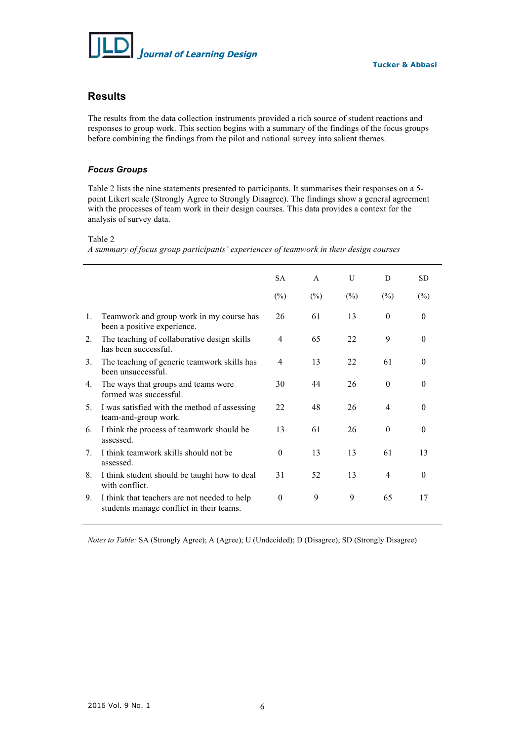

## **Results**

The results from the data collection instruments provided a rich source of student reactions and responses to group work. This section begins with a summary of the findings of the focus groups before combining the findings from the pilot and national survey into salient themes.

## *Focus Groups*

Table 2 lists the nine statements presented to participants. It summarises their responses on a 5 point Likert scale (Strongly Agree to Strongly Disagree). The findings show a general agreement with the processes of team work in their design courses. This data provides a context for the analysis of survey data.

#### Table 2

*A summary of focus group participants' experiences of teamwork in their design courses*

|                                  |                                                                                          | <b>SA</b> | $\mathsf{A}$ | U      | D              | <b>SD</b> |
|----------------------------------|------------------------------------------------------------------------------------------|-----------|--------------|--------|----------------|-----------|
|                                  |                                                                                          | $(\%)$    | $(\% )$      | $(\%)$ | $(\%)$         | $(\%)$    |
| 1.                               | Teamwork and group work in my course has<br>been a positive experience.                  | 26        | 61           | 13     | $\theta$       | $\Omega$  |
| 2.                               | The teaching of collaborative design skills<br>has been successful.                      | 4         | 65           | 22     | 9              | $\Omega$  |
| 3.                               | The teaching of generic teamwork skills has<br>been unsuccessful.                        | 4         | 13           | 22     | 61             | $\Omega$  |
| 4.                               | The ways that groups and teams were<br>formed was successful.                            | 30        | 44           | 26     | $\Omega$       | $\Omega$  |
| 5.                               | I was satisfied with the method of assessing<br>team-and-group work.                     | 22        | 48           | 26     | $\overline{4}$ | $\Omega$  |
| 6.                               | I think the process of teamwork should be<br>assessed.                                   | 13        | 61           | 26     | $\theta$       | $\Omega$  |
| $7_{\scriptscriptstyle{\ddots}}$ | I think teamwork skills should not be<br>assessed.                                       | $\theta$  | 13           | 13     | 61             | 13        |
| 8.                               | I think student should be taught how to deal<br>with conflict.                           | 31        | 52           | 13     | 4              | $\Omega$  |
| 9.                               | I think that teachers are not needed to help<br>students manage conflict in their teams. | $\theta$  | 9            | 9      | 65             | 17        |

*Notes to Table:* SA (Strongly Agree); A (Agree); U (Undecided); D (Disagree); SD (Strongly Disagree)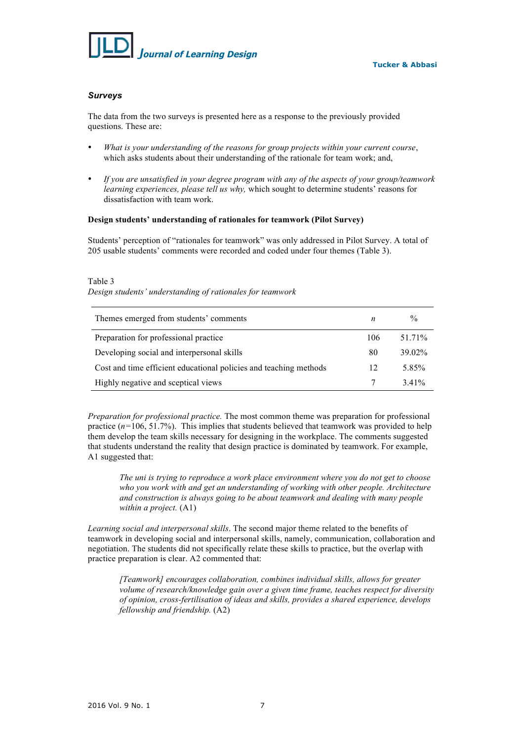

## *Surveys*

The data from the two surveys is presented here as a response to the previously provided questions. These are:

- *What is your understanding of the reasons for group projects within your current course*, which asks students about their understanding of the rationale for team work; and,
- *If you are unsatisfied in your degree program with any of the aspects of your group/teamwork learning experiences, please tell us why,* which sought to determine students' reasons for dissatisfaction with team work.

### **Design students' understanding of rationales for teamwork (Pilot Survey)**

Students' perception of "rationales for teamwork" was only addressed in Pilot Survey. A total of 205 usable students' comments were recorded and coded under four themes (Table 3).

#### Table 3

*Design students' understanding of rationales for teamwork*

| Themes emerged from students' comments                            | n   | $\frac{0}{0}$ |
|-------------------------------------------------------------------|-----|---------------|
| Preparation for professional practice                             | 106 | 51.71%        |
| Developing social and interpersonal skills                        | 80  | 39 02%        |
| Cost and time efficient educational policies and teaching methods | 12  | 5.85%         |
| Highly negative and sceptical views                               |     | 3.41%         |

*Preparation for professional practice.* The most common theme was preparation for professional practice  $(n=106, 51.7%)$ . This implies that students believed that teamwork was provided to help them develop the team skills necessary for designing in the workplace. The comments suggested that students understand the reality that design practice is dominated by teamwork. For example, A1 suggested that:

*The uni is trying to reproduce a work place environment where you do not get to choose who you work with and get an understanding of working with other people. Architecture and construction is always going to be about teamwork and dealing with many people within a project.* (A1)

*Learning social and interpersonal skills*. The second major theme related to the benefits of teamwork in developing social and interpersonal skills, namely, communication, collaboration and negotiation. The students did not specifically relate these skills to practice, but the overlap with practice preparation is clear. A2 commented that:

*[Teamwork] encourages collaboration, combines individual skills, allows for greater volume of research/knowledge gain over a given time frame, teaches respect for diversity of opinion, cross-fertilisation of ideas and skills, provides a shared experience, develops fellowship and friendship.* (A2)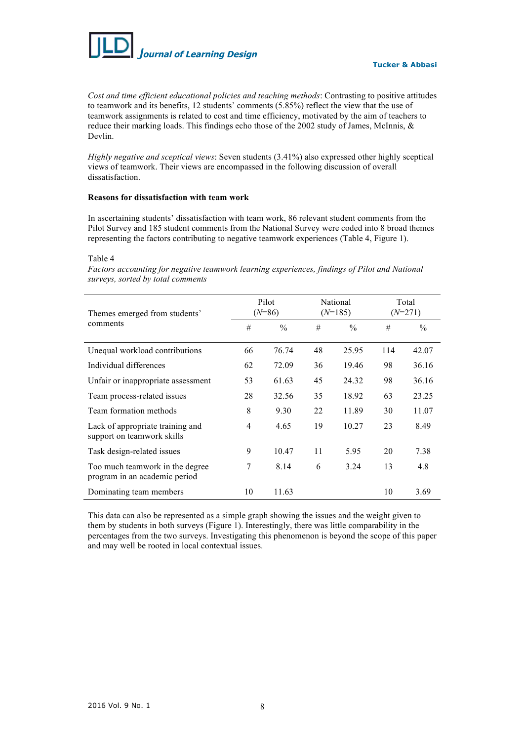

*Cost and time efficient educational policies and teaching methods*: Contrasting to positive attitudes to teamwork and its benefits, 12 students' comments (5.85%) reflect the view that the use of teamwork assignments is related to cost and time efficiency, motivated by the aim of teachers to reduce their marking loads. This findings echo those of the 2002 study of James, McInnis, & Devlin.

*Highly negative and sceptical views*: Seven students (3.41%) also expressed other highly sceptical views of teamwork. Their views are encompassed in the following discussion of overall dissatisfaction.

#### **Reasons for dissatisfaction with team work**

In ascertaining students' dissatisfaction with team work, 86 relevant student comments from the Pilot Survey and 185 student comments from the National Survey were coded into 8 broad themes representing the factors contributing to negative teamwork experiences (Table 4, Figure 1).

Table 4

*Factors accounting for negative teamwork learning experiences, findings of Pilot and National surveys, sorted by total comments*

| Themes emerged from students'<br>comments                        | Pilot<br>$(N=86)$ |               | National<br>$(N=185)$ |               | Total<br>$(N=271)$ |       |
|------------------------------------------------------------------|-------------------|---------------|-----------------------|---------------|--------------------|-------|
|                                                                  | #                 | $\frac{0}{0}$ | #                     | $\frac{0}{0}$ | #                  | $\%$  |
| Unequal workload contributions                                   | 66                | 76.74         | 48                    | 25.95         | 114                | 42.07 |
| Individual differences                                           | 62                | 72.09         | 36                    | 19.46         | 98                 | 36.16 |
| Unfair or inappropriate assessment                               | 53                | 61.63         | 45                    | 24.32         | 98                 | 36.16 |
| Team process-related issues                                      | 28                | 32.56         | 35                    | 18.92         | 63                 | 23.25 |
| Team formation methods                                           | 8                 | 9.30          | 22                    | 11.89         | 30                 | 11.07 |
| Lack of appropriate training and<br>support on teamwork skills   | 4                 | 4.65          | 19                    | 10.27         | 23                 | 8.49  |
| Task design-related issues                                       | 9                 | 10.47         | 11                    | 5.95          | 20                 | 7.38  |
| Too much teamwork in the degree<br>program in an academic period | 7                 | 8.14          | 6                     | 3.24          | 13                 | 4.8   |
| Dominating team members                                          | 10                | 11.63         |                       |               | 10                 | 3.69  |

This data can also be represented as a simple graph showing the issues and the weight given to them by students in both surveys (Figure 1). Interestingly, there was little comparability in the percentages from the two surveys. Investigating this phenomenon is beyond the scope of this paper and may well be rooted in local contextual issues.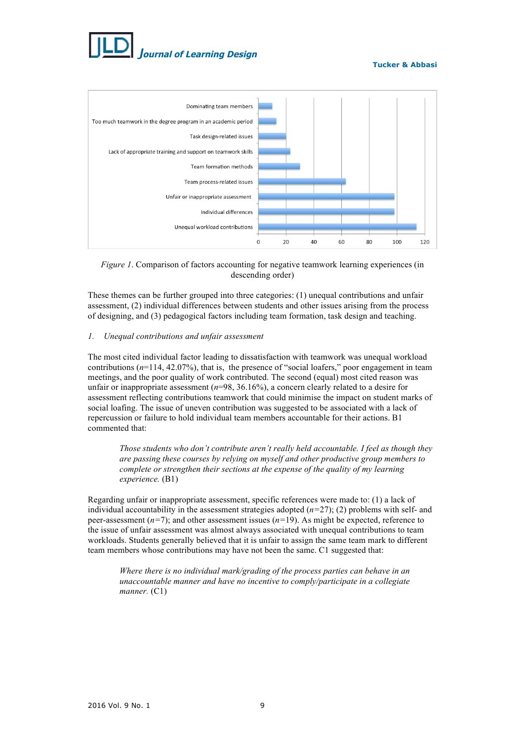

**Tucker & Abbasi**





These themes can be further grouped into three categories: (1) unequal contributions and unfair assessment, (2) individual differences between students and other issues arising from the process of designing, and (3) pedagogical factors including team formation, task design and teaching.

## *1. Unequal contributions and unfair assessment*

The most cited individual factor leading to dissatisfaction with teamwork was unequal workload contributions  $(n=114, 42.07\%)$ , that is, the presence of "social loafers," poor engagement in team meetings, and the poor quality of work contributed. The second (equal) most cited reason was unfair or inappropriate assessment (*n*=98, 36.16%), a concern clearly related to a desire for assessment reflecting contributions teamwork that could minimise the impact on student marks of social loafing. The issue of uneven contribution was suggested to be associated with a lack of repercussion or failure to hold individual team members accountable for their actions. B1 commented that:

*Those students who don't contribute aren't really held accountable. I feel as though they are passing these courses by relying on myself and other productive group members to complete or strengthen their sections at the expense of the quality of my learning experience.* (B1)

Regarding unfair or inappropriate assessment, specific references were made to: (1) a lack of individual accountability in the assessment strategies adopted  $(n=27)$ ; (2) problems with self- and peer-assessment (*n=*7); and other assessment issues (*n=*19). As might be expected, reference to the issue of unfair assessment was almost always associated with unequal contributions to team workloads. Students generally believed that it is unfair to assign the same team mark to different team members whose contributions may have not been the same. C1 suggested that:

*Where there is no individual mark/grading of the process parties can behave in an unaccountable manner and have no incentive to comply/participate in a collegiate manner.* (C1)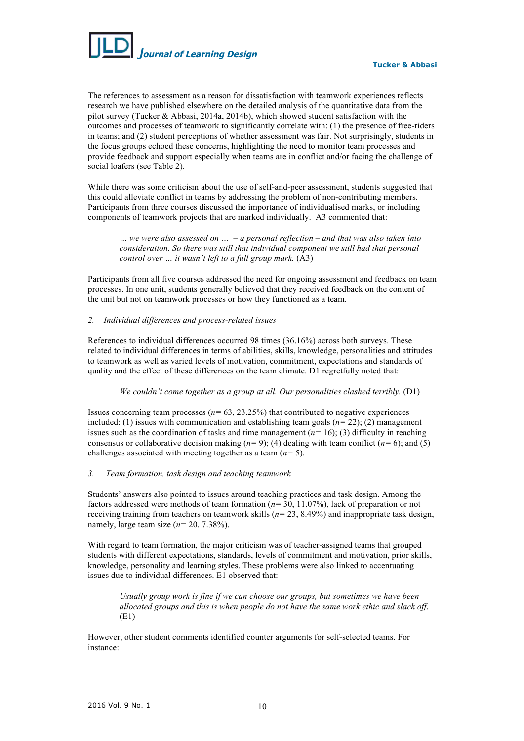

The references to assessment as a reason for dissatisfaction with teamwork experiences reflects research we have published elsewhere on the detailed analysis of the quantitative data from the pilot survey (Tucker & Abbasi, 2014a, 2014b), which showed student satisfaction with the outcomes and processes of teamwork to significantly correlate with: (1) the presence of free-riders in teams; and (2) student perceptions of whether assessment was fair. Not surprisingly, students in the focus groups echoed these concerns, highlighting the need to monitor team processes and provide feedback and support especially when teams are in conflict and/or facing the challenge of social loafers (see Table 2).

While there was some criticism about the use of self-and-peer assessment, students suggested that this could alleviate conflict in teams by addressing the problem of non-contributing members. Participants from three courses discussed the importance of individualised marks, or including components of teamwork projects that are marked individually. A3 commented that:

*… we were also assessed on … – a personal reflection – and that was also taken into consideration. So there was still that individual component we still had that personal control over … it wasn't left to a full group mark.* (A3)

Participants from all five courses addressed the need for ongoing assessment and feedback on team processes. In one unit, students generally believed that they received feedback on the content of the unit but not on teamwork processes or how they functioned as a team.

## *2. Individual differences and process-related issues*

References to individual differences occurred 98 times (36.16%) across both surveys. These related to individual differences in terms of abilities, skills, knowledge, personalities and attitudes to teamwork as well as varied levels of motivation, commitment, expectations and standards of quality and the effect of these differences on the team climate. D1 regretfully noted that:

*We couldn't come together as a group at all. Our personalities clashed terribly.* (D1)

Issues concerning team processes (*n=* 63, 23.25%) that contributed to negative experiences included: (1) issues with communication and establishing team goals  $(n=22)$ ; (2) management issues such as the coordination of tasks and time management  $(n=16)$ ; (3) difficulty in reaching consensus or collaborative decision making  $(n=9)$ ; (4) dealing with team conflict  $(n=6)$ ; and (5) challenges associated with meeting together as a team (*n=* 5).

## *3. Team formation, task design and teaching teamwork*

Students' answers also pointed to issues around teaching practices and task design. Among the factors addressed were methods of team formation (*n=* 30, 11.07%), lack of preparation or not receiving training from teachers on teamwork skills (*n=* 23, 8.49%) and inappropriate task design, namely, large team size  $(n=20.7.38\%)$ .

With regard to team formation, the major criticism was of teacher-assigned teams that grouped students with different expectations, standards, levels of commitment and motivation, prior skills, knowledge, personality and learning styles. These problems were also linked to accentuating issues due to individual differences. E1 observed that:

*Usually group work is fine if we can choose our groups, but sometimes we have been allocated groups and this is when people do not have the same work ethic and slack off*. (E1)

However, other student comments identified counter arguments for self-selected teams. For instance: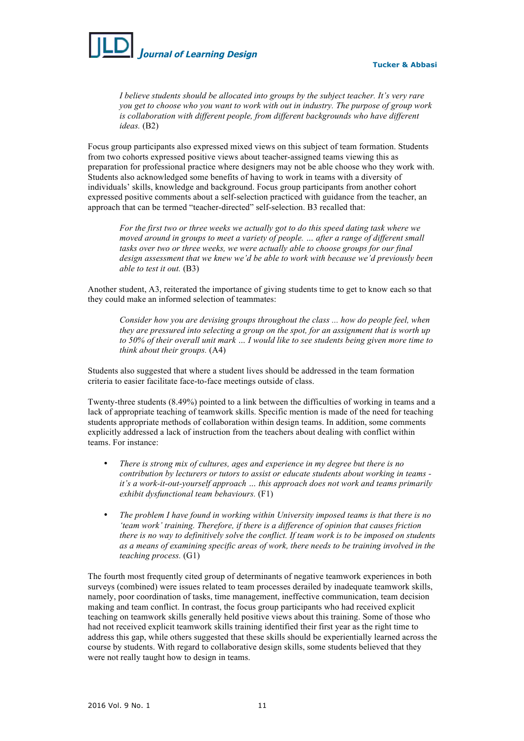

**Tucker & Abbasi**

*I believe students should be allocated into groups by the subject teacher. It's very rare you get to choose who you want to work with out in industry. The purpose of group work is collaboration with different people, from different backgrounds who have different ideas.* (B2)

Focus group participants also expressed mixed views on this subject of team formation. Students from two cohorts expressed positive views about teacher-assigned teams viewing this as preparation for professional practice where designers may not be able choose who they work with. Students also acknowledged some benefits of having to work in teams with a diversity of individuals' skills, knowledge and background. Focus group participants from another cohort expressed positive comments about a self-selection practiced with guidance from the teacher, an approach that can be termed "teacher-directed" self-selection. B3 recalled that:

*For the first two or three weeks we actually got to do this speed dating task where we moved around in groups to meet a variety of people. … after a range of different small tasks over two or three weeks, we were actually able to choose groups for our final design assessment that we knew we'd be able to work with because we'd previously been able to test it out.* (B3)

Another student, A3, reiterated the importance of giving students time to get to know each so that they could make an informed selection of teammates:

*Consider how you are devising groups throughout the class ... how do people feel, when they are pressured into selecting a group on the spot, for an assignment that is worth up to 50% of their overall unit mark … I would like to see students being given more time to think about their groups.* (A4)

Students also suggested that where a student lives should be addressed in the team formation criteria to easier facilitate face-to-face meetings outside of class.

Twenty-three students (8.49%) pointed to a link between the difficulties of working in teams and a lack of appropriate teaching of teamwork skills. Specific mention is made of the need for teaching students appropriate methods of collaboration within design teams. In addition, some comments explicitly addressed a lack of instruction from the teachers about dealing with conflict within teams. For instance:

- *There is strong mix of cultures, ages and experience in my degree but there is no contribution by lecturers or tutors to assist or educate students about working in teams it's a work-it-out-yourself approach … this approach does not work and teams primarily exhibit dysfunctional team behaviours.* (F1)
- *The problem I have found in working within University imposed teams is that there is no 'team work' training. Therefore, if there is a difference of opinion that causes friction there is no way to definitively solve the conflict. If team work is to be imposed on students as a means of examining specific areas of work, there needs to be training involved in the teaching process.* (G1)

The fourth most frequently cited group of determinants of negative teamwork experiences in both surveys (combined) were issues related to team processes derailed by inadequate teamwork skills, namely, poor coordination of tasks, time management, ineffective communication, team decision making and team conflict. In contrast, the focus group participants who had received explicit teaching on teamwork skills generally held positive views about this training. Some of those who had not received explicit teamwork skills training identified their first year as the right time to address this gap, while others suggested that these skills should be experientially learned across the course by students. With regard to collaborative design skills, some students believed that they were not really taught how to design in teams.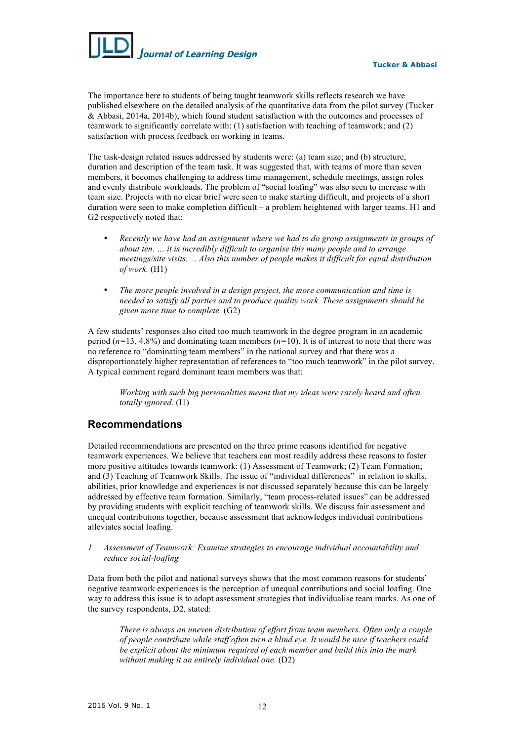

**Tucker & Abbasi**

The importance here to students of being taught teamwork skills reflects research we have published elsewhere on the detailed analysis of the quantitative data from the pilot survey (Tucker & Abbasi, 2014a, 2014b), which found student satisfaction with the outcomes and processes of teamwork to significantly correlate with: (1) satisfaction with teaching of teamwork; and (2) satisfaction with process feedback on working in teams.

The task-design related issues addressed by students were: (a) team size; and (b) structure, duration and description of the team task. It was suggested that, with teams of more than seven members, it becomes challenging to address time management, schedule meetings, assign roles and evenly distribute workloads. The problem of "social loafing" was also seen to increase with team size. Projects with no clear brief were seen to make starting difficult, and projects of a short duration were seen to make completion difficult – a problem heightened with larger teams. H1 and G2 respectively noted that:

- *Recently we have had an assignment where we had to do group assignments in groups of about ten. … it is incredibly difficult to organise this many people and to arrange meetings/site visits. ... Also this number of people makes it difficult for equal distribution of work.* (H1)
- *The more people involved in a design project, the more communication and time is needed to satisfy all parties and to produce quality work. These assignments should be given more time to complete.* (G2)

A few students' responses also cited too much teamwork in the degree program in an academic period (*n=*13, 4.8%) and dominating team members (*n=*10). It is of interest to note that there was no reference to "dominating team members" in the national survey and that there was a disproportionately higher representation of references to "too much teamwork" in the pilot survey. A typical comment regard dominant team members was that:

*Working with such big personalities meant that my ideas were rarely heard and often totally ignored.* (I1)

# **Recommendations**

Detailed recommendations are presented on the three prime reasons identified for negative teamwork experiences. We believe that teachers can most readily address these reasons to foster more positive attitudes towards teamwork: (1) Assessment of Teamwork; (2) Team Formation; and (3) Teaching of Teamwork Skills. The issue of "individual differences" in relation to skills, abilities, prior knowledge and experiences is not discussed separately because this can be largely addressed by effective team formation. Similarly, "team process-related issues" can be addressed by providing students with explicit teaching of teamwork skills. We discuss fair assessment and unequal contributions together, because assessment that acknowledges individual contributions alleviates social loafing.

*1. Assessment of Teamwork: Examine strategies to encourage individual accountability and reduce social-loafing* 

Data from both the pilot and national surveys shows that the most common reasons for students' negative teamwork experiences is the perception of unequal contributions and social loafing. One way to address this issue is to adopt assessment strategies that individualise team marks. As one of the survey respondents, D2, stated:

*There is always an uneven distribution of effort from team members. Often only a couple of people contribute while staff often turn a blind eye. It would be nice if teachers could be explicit about the minimum required of each member and build this into the mark without making it an entirely individual one.* (D2)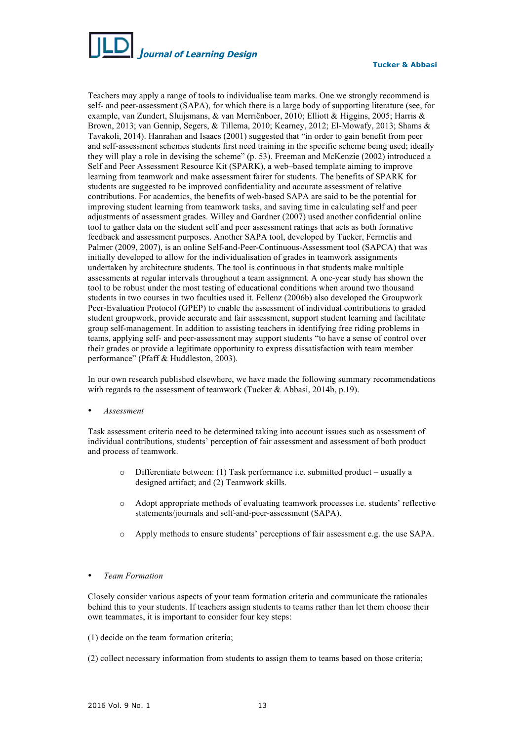

Teachers may apply a range of tools to individualise team marks. One we strongly recommend is self- and peer-assessment (SAPA), for which there is a large body of supporting literature (see, for example, van Zundert, Sluijsmans, & van Merriënboer, 2010; Elliott & Higgins, 2005; Harris & Brown, 2013; van Gennip, Segers, & Tillema, 2010; Kearney, 2012; El-Mowafy, 2013; Shams & Tavakoli, 2014). Hanrahan and Isaacs (2001) suggested that "in order to gain benefit from peer and self-assessment schemes students first need training in the specific scheme being used; ideally they will play a role in devising the scheme" (p. 53). Freeman and McKenzie (2002) introduced a Self and Peer Assessment Resource Kit (SPARK), a web–based template aiming to improve learning from teamwork and make assessment fairer for students. The benefits of SPARK for students are suggested to be improved confidentiality and accurate assessment of relative contributions. For academics, the benefits of web-based SAPA are said to be the potential for improving student learning from teamwork tasks, and saving time in calculating self and peer adjustments of assessment grades. Willey and Gardner (2007) used another confidential online tool to gather data on the student self and peer assessment ratings that acts as both formative feedback and assessment purposes. Another SAPA tool, developed by Tucker, Fermelis and Palmer (2009, 2007), is an online Self-and-Peer-Continuous-Assessment tool (SAPCA) that was initially developed to allow for the individualisation of grades in teamwork assignments undertaken by architecture students. The tool is continuous in that students make multiple assessments at regular intervals throughout a team assignment. A one-year study has shown the tool to be robust under the most testing of educational conditions when around two thousand students in two courses in two faculties used it. Fellenz (2006b) also developed the Groupwork Peer-Evaluation Protocol (GPEP) to enable the assessment of individual contributions to graded student groupwork, provide accurate and fair assessment, support student learning and facilitate group self-management. In addition to assisting teachers in identifying free riding problems in teams, applying self- and peer-assessment may support students "to have a sense of control over their grades or provide a legitimate opportunity to express dissatisfaction with team member performance" (Pfaff & Huddleston, 2003).

In our own research published elsewhere, we have made the following summary recommendations with regards to the assessment of teamwork (Tucker & Abbasi, 2014b, p.19).

• *Assessment* 

Task assessment criteria need to be determined taking into account issues such as assessment of individual contributions, students' perception of fair assessment and assessment of both product and process of teamwork.

- o Differentiate between: (1) Task performance i.e. submitted product usually a designed artifact; and (2) Teamwork skills.
- o Adopt appropriate methods of evaluating teamwork processes i.e. students' reflective statements/journals and self-and-peer-assessment (SAPA).
- o Apply methods to ensure students' perceptions of fair assessment e.g. the use SAPA.

### • *Team Formation*

Closely consider various aspects of your team formation criteria and communicate the rationales behind this to your students. If teachers assign students to teams rather than let them choose their own teammates, it is important to consider four key steps:

(1) decide on the team formation criteria;

(2) collect necessary information from students to assign them to teams based on those criteria;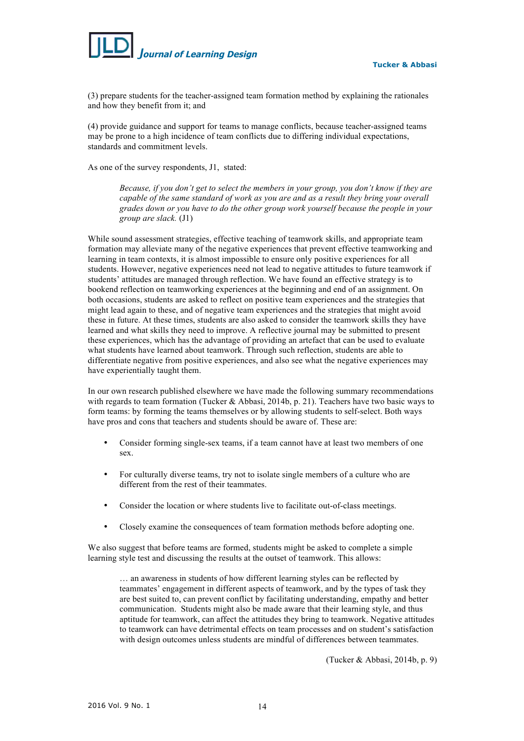

(3) prepare students for the teacher-assigned team formation method by explaining the rationales and how they benefit from it; and

(4) provide guidance and support for teams to manage conflicts, because teacher-assigned teams may be prone to a high incidence of team conflicts due to differing individual expectations, standards and commitment levels.

As one of the survey respondents, J1, stated:

*Because, if you don't get to select the members in your group, you don't know if they are capable of the same standard of work as you are and as a result they bring your overall grades down or you have to do the other group work yourself because the people in your group are slack.* (J1)

While sound assessment strategies, effective teaching of teamwork skills, and appropriate team formation may alleviate many of the negative experiences that prevent effective teamworking and learning in team contexts, it is almost impossible to ensure only positive experiences for all students. However, negative experiences need not lead to negative attitudes to future teamwork if students' attitudes are managed through reflection. We have found an effective strategy is to bookend reflection on teamworking experiences at the beginning and end of an assignment. On both occasions, students are asked to reflect on positive team experiences and the strategies that might lead again to these, and of negative team experiences and the strategies that might avoid these in future. At these times, students are also asked to consider the teamwork skills they have learned and what skills they need to improve. A reflective journal may be submitted to present these experiences, which has the advantage of providing an artefact that can be used to evaluate what students have learned about teamwork. Through such reflection, students are able to differentiate negative from positive experiences, and also see what the negative experiences may have experientially taught them.

In our own research published elsewhere we have made the following summary recommendations with regards to team formation (Tucker & Abbasi, 2014b, p. 21). Teachers have two basic ways to form teams: by forming the teams themselves or by allowing students to self-select. Both ways have pros and cons that teachers and students should be aware of. These are:

- Consider forming single-sex teams, if a team cannot have at least two members of one sex.
- For culturally diverse teams, try not to isolate single members of a culture who are different from the rest of their teammates.
- Consider the location or where students live to facilitate out-of-class meetings.
- Closely examine the consequences of team formation methods before adopting one.

We also suggest that before teams are formed, students might be asked to complete a simple learning style test and discussing the results at the outset of teamwork. This allows:

… an awareness in students of how different learning styles can be reflected by teammates' engagement in different aspects of teamwork, and by the types of task they are best suited to, can prevent conflict by facilitating understanding, empathy and better communication. Students might also be made aware that their learning style, and thus aptitude for teamwork, can affect the attitudes they bring to teamwork. Negative attitudes to teamwork can have detrimental effects on team processes and on student's satisfaction with design outcomes unless students are mindful of differences between teammates.

(Tucker & Abbasi, 2014b, p. 9)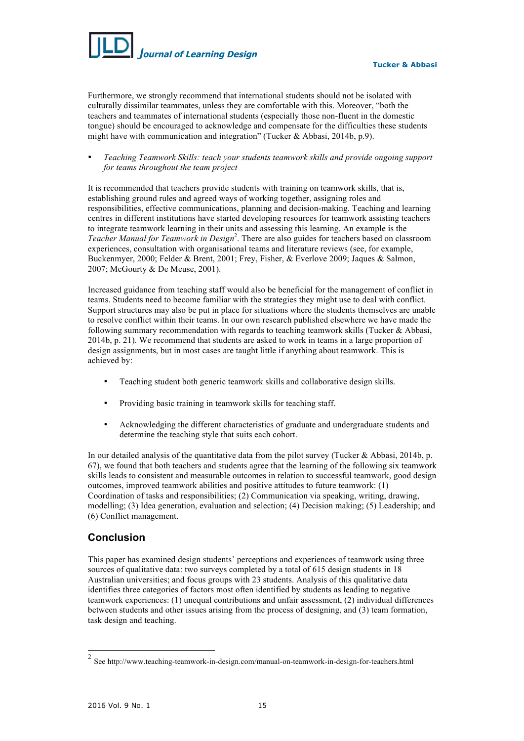

Furthermore, we strongly recommend that international students should not be isolated with culturally dissimilar teammates, unless they are comfortable with this. Moreover, "both the teachers and teammates of international students (especially those non-fluent in the domestic tongue) should be encouraged to acknowledge and compensate for the difficulties these students might have with communication and integration" (Tucker & Abbasi, 2014b, p.9).

• *Teaching Teamwork Skills: teach your students teamwork skills and provide ongoing support for teams throughout the team project*

It is recommended that teachers provide students with training on teamwork skills, that is, establishing ground rules and agreed ways of working together, assigning roles and responsibilities, effective communications, planning and decision-making. Teaching and learning centres in different institutions have started developing resources for teamwork assisting teachers to integrate teamwork learning in their units and assessing this learning. An example is the Teacher Manual for Teamwork in Design<sup>2</sup>. There are also guides for teachers based on classroom experiences, consultation with organisational teams and literature reviews (see, for example, Buckenmyer, 2000; Felder & Brent, 2001; Frey, Fisher, & Everlove 2009; Jaques & Salmon, 2007; McGourty & De Meuse, 2001).

Increased guidance from teaching staff would also be beneficial for the management of conflict in teams. Students need to become familiar with the strategies they might use to deal with conflict. Support structures may also be put in place for situations where the students themselves are unable to resolve conflict within their teams. In our own research published elsewhere we have made the following summary recommendation with regards to teaching teamwork skills (Tucker & Abbasi, 2014b, p. 21). We recommend that students are asked to work in teams in a large proportion of design assignments, but in most cases are taught little if anything about teamwork. This is achieved by:

- Teaching student both generic teamwork skills and collaborative design skills.
- Providing basic training in teamwork skills for teaching staff.
- Acknowledging the different characteristics of graduate and undergraduate students and determine the teaching style that suits each cohort.

In our detailed analysis of the quantitative data from the pilot survey (Tucker & Abbasi, 2014b, p. 67), we found that both teachers and students agree that the learning of the following six teamwork skills leads to consistent and measurable outcomes in relation to successful teamwork, good design outcomes, improved teamwork abilities and positive attitudes to future teamwork: (1) Coordination of tasks and responsibilities; (2) Communication via speaking, writing, drawing, modelling; (3) Idea generation, evaluation and selection; (4) Decision making; (5) Leadership; and (6) Conflict management.

# **Conclusion**

This paper has examined design students' perceptions and experiences of teamwork using three sources of qualitative data: two surveys completed by a total of 615 design students in 18 Australian universities; and focus groups with 23 students. Analysis of this qualitative data identifies three categories of factors most often identified by students as leading to negative teamwork experiences: (1) unequal contributions and unfair assessment, (2) individual differences between students and other issues arising from the process of designing, and (3) team formation, task design and teaching.

 $2$  See http://www.teaching-teamwork-in-design.com/manual-on-teamwork-in-design-for-teachers.html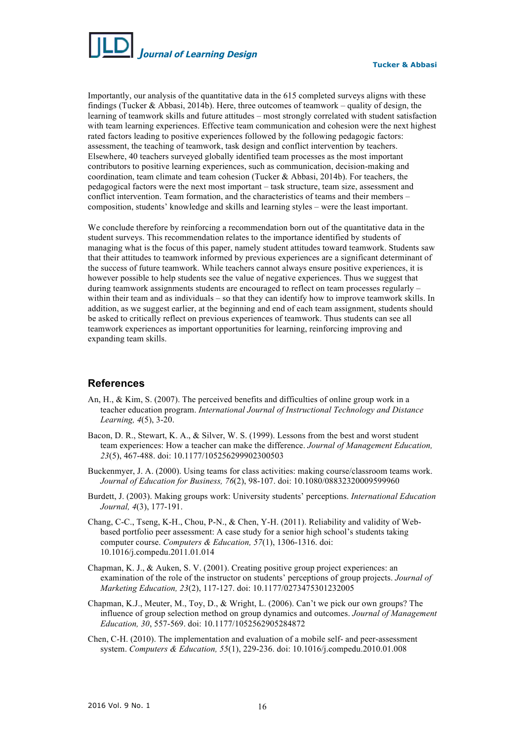

Importantly, our analysis of the quantitative data in the 615 completed surveys aligns with these findings (Tucker & Abbasi, 2014b). Here, three outcomes of teamwork – quality of design, the learning of teamwork skills and future attitudes – most strongly correlated with student satisfaction with team learning experiences. Effective team communication and cohesion were the next highest rated factors leading to positive experiences followed by the following pedagogic factors: assessment, the teaching of teamwork, task design and conflict intervention by teachers. Elsewhere, 40 teachers surveyed globally identified team processes as the most important contributors to positive learning experiences, such as communication, decision-making and coordination, team climate and team cohesion (Tucker & Abbasi, 2014b). For teachers, the pedagogical factors were the next most important – task structure, team size, assessment and conflict intervention. Team formation, and the characteristics of teams and their members – composition, students' knowledge and skills and learning styles – were the least important.

We conclude therefore by reinforcing a recommendation born out of the quantitative data in the student surveys. This recommendation relates to the importance identified by students of managing what is the focus of this paper, namely student attitudes toward teamwork. Students saw that their attitudes to teamwork informed by previous experiences are a significant determinant of the success of future teamwork. While teachers cannot always ensure positive experiences, it is however possible to help students see the value of negative experiences. Thus we suggest that during teamwork assignments students are encouraged to reflect on team processes regularly – within their team and as individuals – so that they can identify how to improve teamwork skills. In addition, as we suggest earlier, at the beginning and end of each team assignment, students should be asked to critically reflect on previous experiences of teamwork. Thus students can see all teamwork experiences as important opportunities for learning, reinforcing improving and expanding team skills.

## **References**

- An, H., & Kim, S. (2007). The perceived benefits and difficulties of online group work in a teacher education program. *International Journal of Instructional Technology and Distance Learning, 4*(5), 3-20.
- Bacon, D. R., Stewart, K. A., & Silver, W. S. (1999). Lessons from the best and worst student team experiences: How a teacher can make the difference. *Journal of Management Education, 23*(5), 467-488. doi: 10.1177/105256299902300503
- Buckenmyer, J. A. (2000). Using teams for class activities: making course/classroom teams work. *Journal of Education for Business, 76*(2), 98-107. doi: 10.1080/08832320009599960
- Burdett, J. (2003). Making groups work: University students' perceptions. *International Education Journal, 4*(3), 177-191.
- Chang, C-C., Tseng, K-H., Chou, P-N., & Chen, Y-H. (2011). Reliability and validity of Webbased portfolio peer assessment: A case study for a senior high school's students taking computer course. *Computers & Education, 57*(1), 1306-1316. doi: 10.1016/j.compedu.2011.01.014
- Chapman, K. J., & Auken, S. V. (2001). Creating positive group project experiences: an examination of the role of the instructor on students' perceptions of group projects. *Journal of Marketing Education, 23*(2), 117-127. doi: 10.1177/0273475301232005
- Chapman, K.J., Meuter, M., Toy, D., & Wright, L. (2006). Can't we pick our own groups? The influence of group selection method on group dynamics and outcomes. *Journal of Management Education, 30*, 557-569. doi: 10.1177/1052562905284872
- Chen, C-H. (2010). The implementation and evaluation of a mobile self- and peer-assessment system. *Computers & Education, 55*(1), 229-236. doi: 10.1016/j.compedu.2010.01.008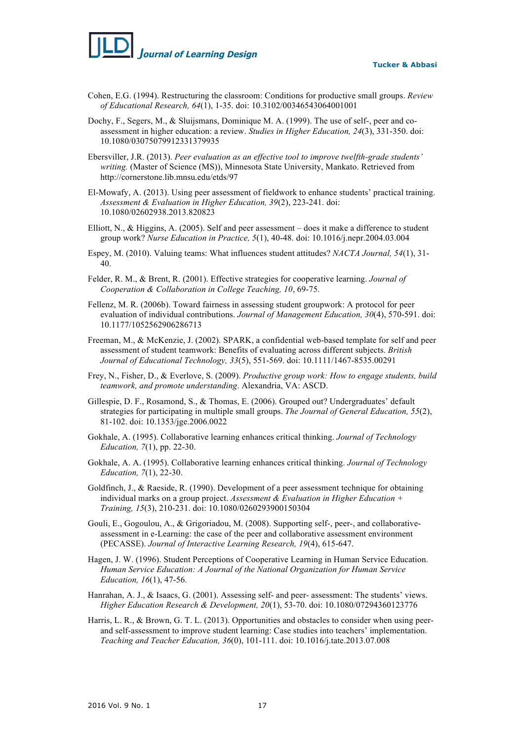*J***ournal of Learning Design**

- Cohen, E.G. (1994). Restructuring the classroom: Conditions for productive small groups. *Review of Educational Research, 64*(1), 1-35. doi: 10.3102/00346543064001001
- Dochy, F., Segers, M., & Sluijsmans, Dominique M. A. (1999). The use of self-, peer and coassessment in higher education: a review. *Studies in Higher Education, 24*(3), 331-350. doi: 10.1080/03075079912331379935
- Ebersviller, J.R. (2013). *Peer evaluation as an effective tool to improve twelfth-grade students' writing.* (Master of Science (MS)), Minnesota State University, Mankato. Retrieved from http://cornerstone.lib.mnsu.edu/etds/97
- El-Mowafy, A. (2013). Using peer assessment of fieldwork to enhance students' practical training. *Assessment & Evaluation in Higher Education, 39*(2), 223-241. doi: 10.1080/02602938.2013.820823
- Elliott, N., & Higgins, A. (2005). Self and peer assessment does it make a difference to student group work? *Nurse Education in Practice, 5*(1), 40-48. doi: 10.1016/j.nepr.2004.03.004
- Espey, M. (2010). Valuing teams: What influences student attitudes? *NACTA Journal, 54*(1), 31- 40.
- Felder, R. M., & Brent, R. (2001). Effective strategies for cooperative learning. *Journal of Cooperation & Collaboration in College Teaching, 10*, 69-75.
- Fellenz, M. R. (2006b). Toward fairness in assessing student groupwork: A protocol for peer evaluation of individual contributions. *Journal of Management Education, 30*(4), 570-591. doi: 10.1177/1052562906286713
- Freeman, M., & McKenzie, J. (2002). SPARK, a confidential web-based template for self and peer assessment of student teamwork: Benefits of evaluating across different subjects. *British Journal of Educational Technology, 33*(5), 551-569. doi: 10.1111/1467-8535.00291
- Frey, N., Fisher, D., & Everlove, S. (2009). *Productive group work: How to engage students, build teamwork, and promote understanding*. Alexandria, VA: ASCD.
- Gillespie, D. F., Rosamond, S., & Thomas, E. (2006). Grouped out? Undergraduates' default strategies for participating in multiple small groups. *The Journal of General Education, 55*(2), 81-102. doi: 10.1353/jge.2006.0022
- Gokhale, A. (1995). Collaborative learning enhances critical thinking. *Journal of Technology Education, 7*(1), pp. 22-30.
- Gokhale, A. A. (1995). Collaborative learning enhances critical thinking. *Journal of Technology Education, 7*(1), 22-30.
- Goldfinch, J., & Raeside, R. (1990). Development of a peer assessment technique for obtaining individual marks on a group project. *Assessment & Evaluation in Higher Education + Training, 15*(3), 210-231. doi: 10.1080/0260293900150304
- Gouli, E., Gogoulou, A., & Grigoriadou, M. (2008). Supporting self-, peer-, and collaborativeassessment in e-Learning: the case of the peer and collaborative assessment environment (PECASSE). *Journal of Interactive Learning Research, 19*(4), 615-647.
- Hagen, J. W. (1996). Student Perceptions of Cooperative Learning in Human Service Education. *Human Service Education: A Journal of the National Organization for Human Service Education, 16*(1), 47-56.
- Hanrahan, A. J., & Isaacs, G. (2001). Assessing self- and peer- assessment: The students' views. *Higher Education Research & Development, 20*(1), 53-70. doi: 10.1080/07294360123776
- Harris, L. R., & Brown, G. T. L. (2013). Opportunities and obstacles to consider when using peerand self-assessment to improve student learning: Case studies into teachers' implementation. *Teaching and Teacher Education, 36*(0), 101-111. doi: 10.1016/j.tate.2013.07.008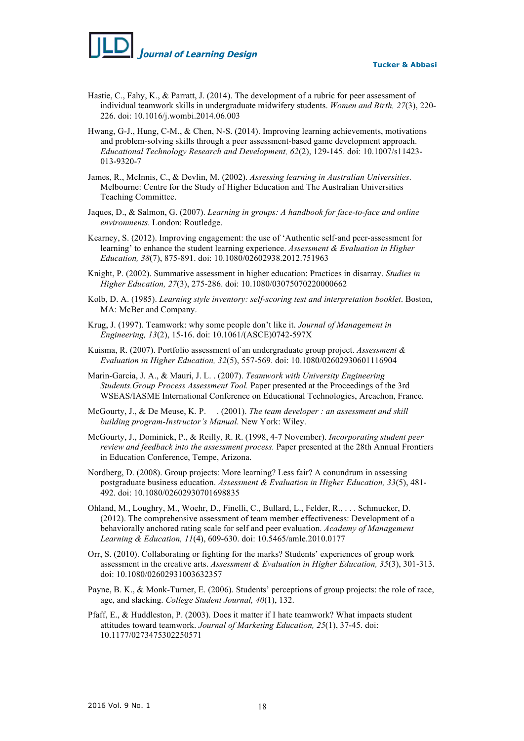# *J***ournal of Learning Design**

**Tucker & Abbasi**

- Hastie, C., Fahy, K., & Parratt, J. (2014). The development of a rubric for peer assessment of individual teamwork skills in undergraduate midwifery students. *Women and Birth, 27*(3), 220- 226. doi: 10.1016/j.wombi.2014.06.003
- Hwang, G-J., Hung, C-M., & Chen, N-S. (2014). Improving learning achievements, motivations and problem-solving skills through a peer assessment-based game development approach. *Educational Technology Research and Development, 62*(2), 129-145. doi: 10.1007/s11423- 013-9320-7
- James, R., McInnis, C., & Devlin, M. (2002). *Assessing learning in Australian Universities*. Melbourne: Centre for the Study of Higher Education and The Australian Universities Teaching Committee.
- Jaques, D., & Salmon, G. (2007). *Learning in groups: A handbook for face-to-face and online environments*. London: Routledge.
- Kearney, S. (2012). Improving engagement: the use of 'Authentic self-and peer-assessment for learning' to enhance the student learning experience. *Assessment & Evaluation in Higher Education, 38*(7), 875-891. doi: 10.1080/02602938.2012.751963
- Knight, P. (2002). Summative assessment in higher education: Practices in disarray. *Studies in Higher Education, 27*(3), 275-286. doi: 10.1080/03075070220000662
- Kolb, D. A. (1985). *Learning style inventory: self-scoring test and interpretation booklet*. Boston, MA: McBer and Company.
- Krug, J. (1997). Teamwork: why some people don't like it. *Journal of Management in Engineering, 13*(2), 15-16. doi: 10.1061/(ASCE)0742-597X
- Kuisma, R. (2007). Portfolio assessment of an undergraduate group project. *Assessment & Evaluation in Higher Education, 32*(5), 557-569. doi: 10.1080/02602930601116904
- Marin-Garcia, J. A., & Mauri, J. L. . (2007). *Teamwork with University Engineering Students.Group Process Assessment Tool.* Paper presented at the Proceedings of the 3rd WSEAS/IASME International Conference on Educational Technologies, Arcachon, France.
- McGourty, J., & De Meuse, K. P. . (2001). *The team developer : an assessment and skill building program-Instructor's Manual*. New York: Wiley.
- McGourty, J., Dominick, P., & Reilly, R. R. (1998, 4-7 November). *Incorporating student peer review and feedback into the assessment process.* Paper presented at the 28th Annual Frontiers in Education Conference, Tempe, Arizona.
- Nordberg, D. (2008). Group projects: More learning? Less fair? A conundrum in assessing postgraduate business education. *Assessment & Evaluation in Higher Education, 33*(5), 481- 492. doi: 10.1080/02602930701698835
- Ohland, M., Loughry, M., Woehr, D., Finelli, C., Bullard, L., Felder, R., . . . Schmucker, D. (2012). The comprehensive assessment of team member effectiveness: Development of a behaviorally anchored rating scale for self and peer evaluation. *Academy of Management Learning & Education, 11*(4), 609-630. doi: 10.5465/amle.2010.0177
- Orr, S. (2010). Collaborating or fighting for the marks? Students' experiences of group work assessment in the creative arts. *Assessment & Evaluation in Higher Education, 35*(3), 301-313. doi: 10.1080/02602931003632357
- Payne, B. K., & Monk-Turner, E. (2006). Students' perceptions of group projects: the role of race, age, and slacking. *College Student Journal, 40*(1), 132.
- Pfaff, E., & Huddleston, P. (2003). Does it matter if I hate teamwork? What impacts student attitudes toward teamwork. *Journal of Marketing Education, 25*(1), 37-45. doi: 10.1177/0273475302250571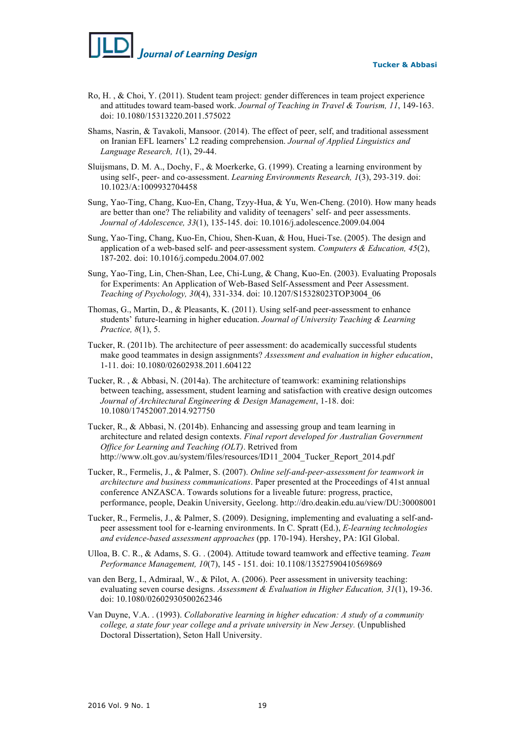- Ro, H. , & Choi, Y. (2011). Student team project: gender differences in team project experience and attitudes toward team-based work. *Journal of Teaching in Travel & Tourism, 11*, 149-163. doi: 10.1080/15313220.2011.575022
- Shams, Nasrin, & Tavakoli, Mansoor. (2014). The effect of peer, self, and traditional assessment on Iranian EFL learners' L2 reading comprehension. *Journal of Applied Linguistics and Language Research, 1*(1), 29-44.
- Sluijsmans, D. M. A., Dochy, F., & Moerkerke, G. (1999). Creating a learning environment by using self-, peer- and co-assessment. *Learning Environments Research, 1*(3), 293-319. doi: 10.1023/A:1009932704458
- Sung, Yao-Ting, Chang, Kuo-En, Chang, Tzyy-Hua, & Yu, Wen-Cheng. (2010). How many heads are better than one? The reliability and validity of teenagers' self- and peer assessments. *Journal of Adolescence, 33*(1), 135-145. doi: 10.1016/j.adolescence.2009.04.004
- Sung, Yao-Ting, Chang, Kuo-En, Chiou, Shen-Kuan, & Hou, Huei-Tse. (2005). The design and application of a web-based self- and peer-assessment system. *Computers & Education, 45*(2), 187-202. doi: 10.1016/j.compedu.2004.07.002
- Sung, Yao-Ting, Lin, Chen-Shan, Lee, Chi-Lung, & Chang, Kuo-En. (2003). Evaluating Proposals for Experiments: An Application of Web-Based Self-Assessment and Peer Assessment. *Teaching of Psychology, 30*(4), 331-334. doi: 10.1207/S15328023TOP3004\_06
- Thomas, G., Martin, D., & Pleasants, K. (2011). Using self-and peer-assessment to enhance students' future-learning in higher education. *Journal of University Teaching & Learning Practice, 8*(1), 5.
- Tucker, R. (2011b). The architecture of peer assessment: do academically successful students make good teammates in design assignments? *Assessment and evaluation in higher education*, 1-11. doi: 10.1080/02602938.2011.604122
- Tucker, R. , & Abbasi, N. (2014a). The architecture of teamwork: examining relationships between teaching, assessment, student learning and satisfaction with creative design outcomes *Journal of Architectural Engineering & Design Management*, 1-18. doi: 10.1080/17452007.2014.927750
- Tucker, R., & Abbasi, N. (2014b). Enhancing and assessing group and team learning in architecture and related design contexts. *Final report developed for Australian Government Office for Learning and Teaching (OLT)*. Retrived from http://www.olt.gov.au/system/files/resources/ID11\_2004\_Tucker\_Report\_2014.pdf
- Tucker, R., Fermelis, J., & Palmer, S. (2007). *Online self-and-peer-assessment for teamwork in architecture and business communications*. Paper presented at the Proceedings of 41st annual conference ANZASCA. Towards solutions for a liveable future: progress, practice, performance, people, Deakin University, Geelong. http://dro.deakin.edu.au/view/DU:30008001
- Tucker, R., Fermelis, J., & Palmer, S. (2009). Designing, implementing and evaluating a self-andpeer assessment tool for e-learning environments. In C. Spratt (Ed.), *E-learning technologies and evidence-based assessment approaches* (pp. 170-194). Hershey, PA: IGI Global.
- Ulloa, B. C. R., & Adams, S. G. . (2004). Attitude toward teamwork and effective teaming. *Team Performance Management, 10*(7), 145 - 151. doi: 10.1108/13527590410569869
- van den Berg, I., Admiraal, W., & Pilot, A. (2006). Peer assessment in university teaching: evaluating seven course designs. *Assessment & Evaluation in Higher Education, 31*(1), 19-36. doi: 10.1080/02602930500262346
- Van Duyne, V.A. . (1993). *Collaborative learning in higher education: A study of a community college, a state four year college and a private university in New Jersey.* (Unpublished Doctoral Dissertation), Seton Hall University.